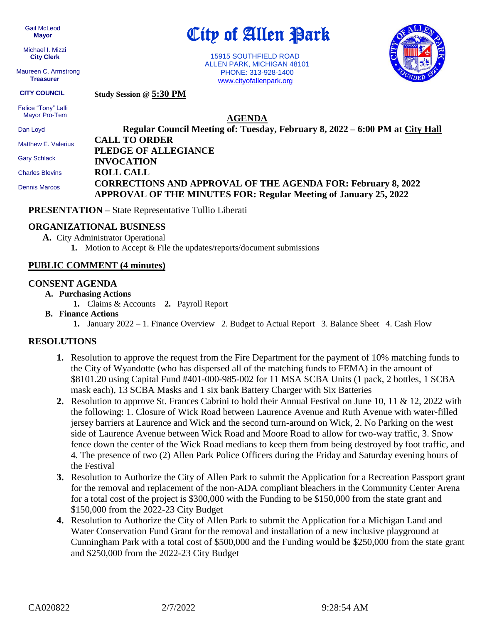Gail McLeod  **Mayor**

 Michael I. Mizzi **City Clerk**

 Maureen C. Armstrong **Treasurer**

City of Allen Park

 15915 SOUTHFIELD ROAD ALLEN PARK, MICHIGAN 48101 PHONE: 313-928-1400 [www.cityofallenpark.org](http://www.cityofallenpark.org/)



**Study Session @ 5:30 PM CITY COUNCIL**

 Felice "Tony" Lalli Mayor Pro-Tem

**AGENDA**

| Dan Loyd               | Regular Council Meeting of: Tuesday, February 8, 2022 – 6:00 PM at City Hall |
|------------------------|------------------------------------------------------------------------------|
| Matthew E. Valerius    | <b>CALL TO ORDER</b>                                                         |
|                        | PLEDGE OF ALLEGIANCE                                                         |
| <b>Gary Schlack</b>    | <b>INVOCATION</b>                                                            |
| <b>Charles Blevins</b> | <b>ROLL CALL</b>                                                             |
| <b>Dennis Marcos</b>   | <b>CORRECTIONS AND APPROVAL OF THE AGENDA FOR: February 8, 2022</b>          |
|                        | APPROVAL OF THE MINUTES FOR: Regular Meeting of January 25, 2022             |

**PRESENTATION –** State Representative Tullio Liberati

## **ORGANIZATIONAL BUSINESS**

- **A.** City Administrator Operational
	- **1.** Motion to Accept & File the updates/reports/document submissions

# **PUBLIC COMMENT (4 minutes)**

#### **CONSENT AGENDA**

- **A. Purchasing Actions**
	- **1.** Claims & Accounts **2.** Payroll Report
- **B. Finance Actions**
	- **1.** January 2022 1. Finance Overview 2. Budget to Actual Report 3. Balance Sheet 4. Cash Flow

# **RESOLUTIONS**

- **1.** Resolution to approve the request from the Fire Department for the payment of 10% matching funds to the City of Wyandotte (who has dispersed all of the matching funds to FEMA) in the amount of \$8101.20 using Capital Fund #401-000-985-002 for 11 MSA SCBA Units (1 pack, 2 bottles, 1 SCBA mask each), 13 SCBA Masks and 1 six bank Battery Charger with Six Batteries
- **2.** Resolution to approve St. Frances Cabrini to hold their Annual Festival on June 10, 11 & 12, 2022 with the following: 1. Closure of Wick Road between Laurence Avenue and Ruth Avenue with water-filled jersey barriers at Laurence and Wick and the second turn-around on Wick, 2. No Parking on the west side of Laurence Avenue between Wick Road and Moore Road to allow for two-way traffic, 3. Snow fence down the center of the Wick Road medians to keep them from being destroyed by foot traffic, and 4. The presence of two (2) Allen Park Police Officers during the Friday and Saturday evening hours of the Festival
- **3.** Resolution to Authorize the City of Allen Park to submit the Application for a Recreation Passport grant for the removal and replacement of the non-ADA compliant bleachers in the Community Center Arena for a total cost of the project is \$300,000 with the Funding to be \$150,000 from the state grant and \$150,000 from the 2022-23 City Budget
- **4.** Resolution to Authorize the City of Allen Park to submit the Application for a Michigan Land and Water Conservation Fund Grant for the removal and installation of a new inclusive playground at Cunningham Park with a total cost of \$500,000 and the Funding would be \$250,000 from the state grant and \$250,000 from the 2022-23 City Budget